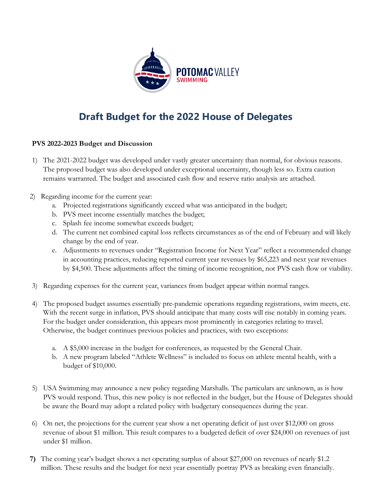

## **Draft Budget for the 2022 House of Delegates**

## **PVS 2022-2023 Budget and Discussion**

- 1) The 2021-2022 budget was developed under vastly greater uncertainty than normal, for obvious reasons. The proposed budget was also developed under exceptional uncertainty, though less so. Extra caution remains warranted. The budget and associated cash flow and reserve ratio analysis are attached.
- 2) Regarding income for the current year:
	- a. Projected registrations significantly exceed what was anticipated in the budget;
	- b. PVS meet income essentially matches the budget;
	- c. Splash fee income somewhat exceeds budget;
	- d. The current net combined capital loss reflects circumstances as of the end of February and will likely change by the end of year.
	- e. Adjustments to revenues under "Registration Income for Next Year" reflect a recommended change in accounting practices, reducing reported current year revenues by \$65,223 and next year revenues by \$4,500. These adjustments affect the timing of income recognition, not PVS cash flow or viability.
- 3) Regarding expenses for the current year, variances from budget appear within normal ranges.
- 4) The proposed budget assumes essentially pre-pandemic operations regarding registrations, swim meets, etc. With the recent surge in inflation, PVS should anticipate that many costs will rise notably in coming years. For the budget under consideration, this appears most prominently in categories relating to travel. Otherwise, the budget continues previous policies and practices, with two exceptions:
	- a. A \$5,000 increase in the budget for conferences, as requested by the General Chair.
	- b. A new program labeled "Athlete Wellness" is included to focus on athlete mental health, with a budget of \$10,000.
- 5) USA Swimming may announce a new policy regarding Marshalls. The particulars are unknown, as is how PVS would respond. Thus, this new policy is not reflected in the budget, but the House of Delegates should be aware the Board may adopt a related policy with budgetary consequences during the year.
- 6) On net, the projections for the current year show a net operating deficit of just over \$12,000 on gross revenue of about \$1 million. This result compares to a budgeted deficit of over \$24,000 on revenues of just under \$1 million.
- **7)** The coming year's budget shows a net operating surplus of about \$27,000 on revenues of nearly \$1.2 million. These results and the budget for next year essentially portray PVS as breaking even financially.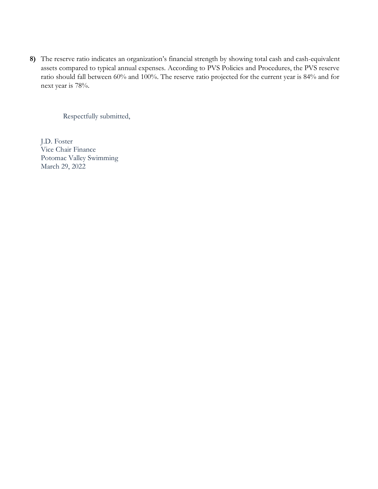**8)** The reserve ratio indicates an organization's financial strength by showing total cash and cash-equivalent assets compared to typical annual expenses. According to PVS Policies and Procedures, the PVS reserve ratio should fall between 60% and 100%. The reserve ratio projected for the current year is 84% and for next year is 78%.

Respectfully submitted,

J.D. Foster Vice Chair Finance Potomac Valley Swimming March 29, 2022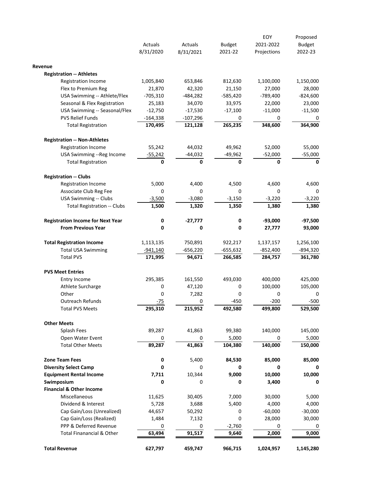|                                          |            |                |               | EOY         | Proposed      |
|------------------------------------------|------------|----------------|---------------|-------------|---------------|
|                                          | Actuals    | <b>Actuals</b> | <b>Budget</b> | 2021-2022   | <b>Budget</b> |
|                                          | 8/31/2020  | 8/31/2021      | 2021-22       | Projections | 2022-23       |
| Revenue                                  |            |                |               |             |               |
| <b>Registration -- Athletes</b>          |            |                |               |             |               |
| <b>Registration Income</b>               | 1,005,840  | 653,846        | 812,630       | 1,100,000   | 1,150,000     |
| Flex to Premium Reg                      | 21,870     | 42,320         | 21,150        | 27,000      | 28,000        |
| USA Swimming -- Athlete/Flex             | $-705,310$ | -484,282       | $-585,420$    | $-789,400$  | $-824,600$    |
| Seasonal & Flex Registration             | 25,183     | 34,070         | 33,975        | 22,000      | 23,000        |
| USA Swimming -- Seasonal/Flex            | $-12,750$  | $-17,530$      | $-17,100$     | $-11,000$   | $-11,500$     |
| <b>PVS Relief Funds</b>                  | $-164,338$ | $-107,296$     | 0             | 0           | 0             |
| <b>Total Registration</b>                | 170,495    | 121,128        | 265,235       | 348,600     | 364,900       |
| <b>Registration -- Non-Athletes</b>      |            |                |               |             |               |
| <b>Registration Income</b>               | 55,242     | 44,032         | 49,962        | 52,000      | 55,000        |
| USA Swimming -- Reg Income               | $-55,242$  | $-44,032$      | -49,962       | $-52,000$   | $-55,000$     |
| <b>Total Registration</b>                | 0          | 0              | 0             | 0           | 0             |
| <b>Registration -- Clubs</b>             |            |                |               |             |               |
| <b>Registration Income</b>               | 5,000      | 4,400          | 4,500         | 4,600       | 4,600         |
| Associate Club Reg Fee                   | 0          | 0              | 0             | 0           | 0             |
| <b>USA Swimming -- Clubs</b>             | $-3,500$   | $-3,080$       | $-3,150$      | $-3,220$    | $-3,220$      |
| <b>Total Registration -- Clubs</b>       | 1,500      | 1,320          | 1,350         | 1,380       | 1,380         |
| <b>Registration Income for Next Year</b> | 0          | $-27,777$      | 0             | $-93,000$   | $-97,500$     |
| <b>From Previous Year</b>                | 0          | 0              | 0             | 27,777      | 93,000        |
| <b>Total Registration Income</b>         | 1,113,135  | 750,891        | 922,217       | 1,137,157   | 1,256,100     |
| <b>Total USA Swimming</b>                | -941,140   | $-656,220$     | -655,632      | -852,400    | -894,320      |
| <b>Total PVS</b>                         | 171,995    | 94,671         | 266,585       | 284,757     | 361,780       |
| <b>PVS Meet Entries</b>                  |            |                |               |             |               |
| Entry Income                             | 295,385    | 161,550        | 493,030       | 400,000     | 425,000       |
| Athlete Surcharge                        | 0          | 47,120         | 0             | 100,000     | 105,000       |
| Other                                    | 0          | 7,282          | 0             | 0           | 0             |
| <b>Outreach Refunds</b>                  | -75        | 0              | $-450$        | $-200$      | $-500$        |
| <b>Total PVS Meets</b>                   | 295,310    | 215,952        | 492,580       | 499,800     | 529,500       |
| <b>Other Meets</b>                       |            |                |               |             |               |
| Splash Fees                              | 89,287     | 41,863         | 99,380        | 140,000     | 145,000       |
| Open Water Event                         | 0          | 0              | 5,000         | 0           | 5,000         |
| <b>Total Other Meets</b>                 | 89,287     | 41,863         | 104,380       | 140,000     | 150,000       |
| <b>Zone Team Fees</b>                    | 0          | 5,400          | 84,530        | 85,000      | 85,000        |
| <b>Diversity Select Camp</b>             | 0          | 0              | 0             | 0           | 0             |
| <b>Equipment Rental Income</b>           | 7,711      | 10,344         | 9,000         | 10,000      | 10,000        |
| Swimposium                               | 0          | 0              | 0             | 3,400       | 0             |
| <b>Financial &amp; Other Income</b>      |            |                |               |             |               |
| Miscellaneous                            | 11,625     | 30,405         | 7,000         | 30,000      | 5,000         |
| Dividend & Interest                      | 5,728      | 3,688          | 5,400         | 4,000       | 4,000         |
| Cap Gain/Loss (Unrealized)               | 44,657     | 50,292         | 0             | $-60,000$   | $-30,000$     |
| Cap Gain/Loss (Realized)                 | 1,484      | 7,132          | 0             | 28,000      | 30,000        |
|                                          | 0          | 0              | $-2,760$      | 0           | 0             |
| PPP & Deferred Revenue                   |            |                |               |             |               |
| <b>Total Finanancial &amp; Other</b>     | 63,494     | 91,517         | 9,640         | 2,000       | 9,000         |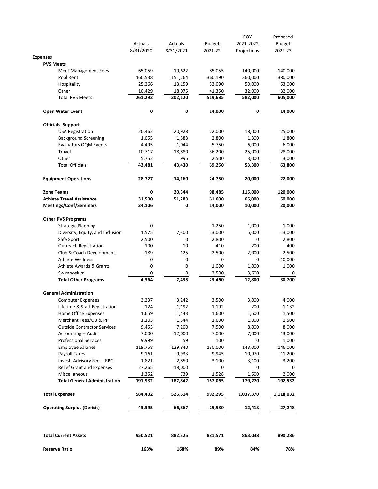| 8/31/2020<br>65,059<br><b>Meet Management Fees</b><br>160,538<br>25,266<br>10,429<br>261,292 | 8/31/2021<br>19,622<br>151,264<br>13,159<br>18,075                                                                                                    | 2021-22<br>85,055<br>360,190<br>33,090                                        | Projections<br>140,000<br>360,000<br>50,000                             | 2022-23                                                                  |
|----------------------------------------------------------------------------------------------|-------------------------------------------------------------------------------------------------------------------------------------------------------|-------------------------------------------------------------------------------|-------------------------------------------------------------------------|--------------------------------------------------------------------------|
|                                                                                              |                                                                                                                                                       |                                                                               |                                                                         |                                                                          |
|                                                                                              |                                                                                                                                                       |                                                                               |                                                                         | 140,000<br>380,000                                                       |
|                                                                                              |                                                                                                                                                       |                                                                               |                                                                         |                                                                          |
|                                                                                              |                                                                                                                                                       |                                                                               |                                                                         |                                                                          |
|                                                                                              |                                                                                                                                                       |                                                                               |                                                                         | 53,000                                                                   |
|                                                                                              |                                                                                                                                                       | 41,350                                                                        | 32,000                                                                  | 32,000                                                                   |
|                                                                                              | 202,120                                                                                                                                               | 519,685                                                                       | 582,000                                                                 | 605,000                                                                  |
| 0                                                                                            | 0                                                                                                                                                     | 14,000                                                                        | 0                                                                       | 14,000                                                                   |
|                                                                                              |                                                                                                                                                       |                                                                               |                                                                         |                                                                          |
| 20,462                                                                                       | 20,928                                                                                                                                                | 22,000                                                                        | 18,000                                                                  | 25,000                                                                   |
|                                                                                              |                                                                                                                                                       |                                                                               |                                                                         | 1,800                                                                    |
| <b>Evaluators OQM Events</b>                                                                 |                                                                                                                                                       |                                                                               |                                                                         | 6,000                                                                    |
|                                                                                              |                                                                                                                                                       |                                                                               |                                                                         | 28,000                                                                   |
|                                                                                              |                                                                                                                                                       |                                                                               |                                                                         | 3,000                                                                    |
| 42,481                                                                                       | 43,430                                                                                                                                                | 69,250                                                                        | 53,300                                                                  | 63,800                                                                   |
| 28,727                                                                                       | 14,160                                                                                                                                                | 24,750                                                                        | 20,000                                                                  | 22,000                                                                   |
| 0                                                                                            | 20,344                                                                                                                                                | 98,485                                                                        | 115,000                                                                 | 120,000                                                                  |
| 31,500                                                                                       | 51,283                                                                                                                                                | 61,600                                                                        | 65,000                                                                  | 50,000                                                                   |
| 24,106                                                                                       | 0                                                                                                                                                     | 14,000                                                                        | 10,000                                                                  | 20,000                                                                   |
|                                                                                              |                                                                                                                                                       |                                                                               |                                                                         |                                                                          |
| 0                                                                                            |                                                                                                                                                       | 1,250                                                                         | 1,000                                                                   | 1,000                                                                    |
| Diversity, Equity, and Inclusion<br>1,575                                                    | 7,300                                                                                                                                                 | 13,000                                                                        | 5,000                                                                   | 13,000                                                                   |
| 2,500                                                                                        | 0                                                                                                                                                     | 2,800                                                                         | 0                                                                       | 2,800                                                                    |
| 100                                                                                          | 10                                                                                                                                                    | 410                                                                           | 200                                                                     | 400                                                                      |
| Club & Coach Development<br>189                                                              | 125                                                                                                                                                   | 2,500                                                                         | 2,000                                                                   | 2,500                                                                    |
| 0                                                                                            | 0                                                                                                                                                     | 0                                                                             | 0                                                                       | 10,000                                                                   |
| 0<br><b>Athlete Awards &amp; Grants</b>                                                      | 0                                                                                                                                                     | 1,000                                                                         | 1,000                                                                   | 1,000                                                                    |
| 0                                                                                            | 0                                                                                                                                                     | 2,500                                                                         | 3,600                                                                   | 0                                                                        |
| 4,364                                                                                        | 7,435                                                                                                                                                 | 23,460                                                                        | 12,800                                                                  | 30,700                                                                   |
|                                                                                              |                                                                                                                                                       |                                                                               |                                                                         |                                                                          |
| 3,237                                                                                        | 3,242                                                                                                                                                 | 3,500                                                                         | 3,000                                                                   | 4,000                                                                    |
| Lifetime & Staff Registration<br>124                                                         | 1,192                                                                                                                                                 | 1,192                                                                         | 200                                                                     | 1,132                                                                    |
| 1,659                                                                                        | 1,443                                                                                                                                                 | 1,600                                                                         | 1,500                                                                   | 1,500                                                                    |
| Merchant Fees/QB & PP<br>1,103                                                               | 1,344                                                                                                                                                 | 1,600                                                                         | 1,000                                                                   | 1,500                                                                    |
| <b>Outside Contractor Services</b><br>9,453                                                  | 7,200                                                                                                                                                 | 7,500                                                                         | 8,000                                                                   | 8,000                                                                    |
| 7,000                                                                                        | 12,000                                                                                                                                                | 7,000                                                                         | 7,000                                                                   | 13,000                                                                   |
|                                                                                              | 59                                                                                                                                                    | 100                                                                           | 0                                                                       | 1,000                                                                    |
| 119,758                                                                                      |                                                                                                                                                       |                                                                               |                                                                         | 146,000                                                                  |
|                                                                                              |                                                                                                                                                       |                                                                               |                                                                         | 11,200                                                                   |
|                                                                                              |                                                                                                                                                       |                                                                               |                                                                         | 3,200                                                                    |
|                                                                                              |                                                                                                                                                       | 0                                                                             | 0                                                                       | 0                                                                        |
|                                                                                              |                                                                                                                                                       |                                                                               |                                                                         | 2,000                                                                    |
| 191,932<br><b>Total General Administration</b>                                               | 187,842                                                                                                                                               | 167,065                                                                       | 179,270                                                                 | 192,532                                                                  |
| 584,402                                                                                      | 526,614                                                                                                                                               | 992,295                                                                       | 1,037,370                                                               | 1,118,032                                                                |
|                                                                                              | -66,867                                                                                                                                               | $-25,580$                                                                     | $-12,413$                                                               | 27,248                                                                   |
|                                                                                              | 1,055<br>4,495<br>10,717<br>5,752<br>9,999<br>9,161<br>Invest. Advisory Fee -- RBC<br>1,821<br>Relief Grant and Expenses<br>27,265<br>1,352<br>43,395 | 1,583<br>1,044<br>18,880<br>995<br>129,840<br>9,933<br>2,850<br>18,000<br>739 | 2,800<br>5,750<br>36,200<br>2,500<br>130,000<br>9,945<br>3,100<br>1,528 | 1,300<br>6,000<br>25,000<br>3,000<br>143,000<br>10,970<br>3,100<br>1,500 |